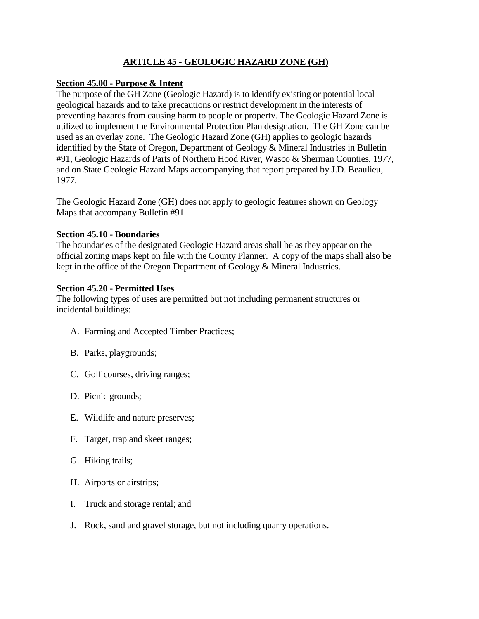# **ARTICLE 45 - GEOLOGIC HAZARD ZONE (GH)**

### **Section 45.00 - Purpose & Intent**

The purpose of the GH Zone (Geologic Hazard) is to identify existing or potential local geological hazards and to take precautions or restrict development in the interests of preventing hazards from causing harm to people or property. The Geologic Hazard Zone is utilized to implement the Environmental Protection Plan designation. The GH Zone can be used as an overlay zone. The Geologic Hazard Zone (GH) applies to geologic hazards identified by the State of Oregon, Department of Geology & Mineral Industries in Bulletin #91, Geologic Hazards of Parts of Northern Hood River, Wasco & Sherman Counties, 1977, and on State Geologic Hazard Maps accompanying that report prepared by J.D. Beaulieu, 1977.

The Geologic Hazard Zone (GH) does not apply to geologic features shown on Geology Maps that accompany Bulletin #91.

#### **Section 45.10 - Boundaries**

The boundaries of the designated Geologic Hazard areas shall be as they appear on the official zoning maps kept on file with the County Planner. A copy of the maps shall also be kept in the office of the Oregon Department of Geology & Mineral Industries.

#### **Section 45.20 - Permitted Uses**

The following types of uses are permitted but not including permanent structures or incidental buildings:

- A. Farming and Accepted Timber Practices;
- B. Parks, playgrounds;
- C. Golf courses, driving ranges;
- D. Picnic grounds;
- E. Wildlife and nature preserves;
- F. Target, trap and skeet ranges;
- G. Hiking trails;
- H. Airports or airstrips;
- I. Truck and storage rental; and
- J. Rock, sand and gravel storage, but not including quarry operations.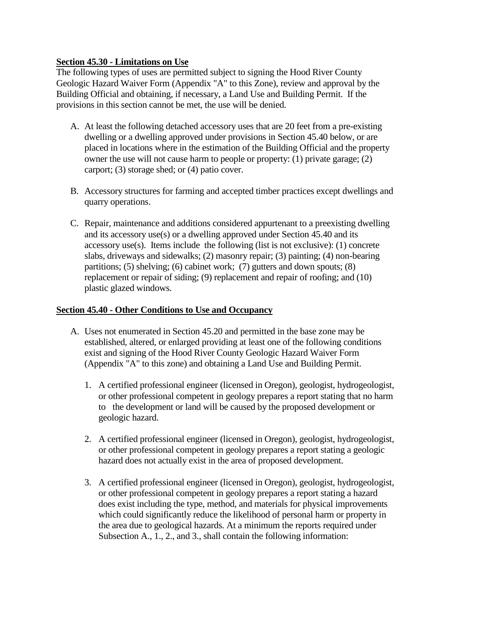## **Section 45.30 - Limitations on Use**

The following types of uses are permitted subject to signing the Hood River County Geologic Hazard Waiver Form (Appendix "A" to this Zone), review and approval by the Building Official and obtaining, if necessary, a Land Use and Building Permit. If the provisions in this section cannot be met, the use will be denied.

- A. At least the following detached accessory uses that are 20 feet from a pre-existing dwelling or a dwelling approved under provisions in Section 45.40 below, or are placed in locations where in the estimation of the Building Official and the property owner the use will not cause harm to people or property: (1) private garage; (2) carport; (3) storage shed; or (4) patio cover.
- B. Accessory structures for farming and accepted timber practices except dwellings and quarry operations.
- C. Repair, maintenance and additions considered appurtenant to a preexisting dwelling and its accessory use(s) or a dwelling approved under Section 45.40 and its accessory use(s). Items include the following (list is not exclusive): (1) concrete slabs, driveways and sidewalks; (2) masonry repair; (3) painting; (4) non-bearing partitions; (5) shelving; (6) cabinet work; (7) gutters and down spouts; (8) replacement or repair of siding; (9) replacement and repair of roofing; and (10) plastic glazed windows.

#### **Section 45.40 - Other Conditions to Use and Occupancy**

- A. Uses not enumerated in Section 45.20 and permitted in the base zone may be established, altered, or enlarged providing at least one of the following conditions exist and signing of the Hood River County Geologic Hazard Waiver Form (Appendix "A" to this zone) and obtaining a Land Use and Building Permit.
	- 1. A certified professional engineer (licensed in Oregon), geologist, hydrogeologist, or other professional competent in geology prepares a report stating that no harm to the development or land will be caused by the proposed development or geologic hazard.
	- 2. A certified professional engineer (licensed in Oregon), geologist, hydrogeologist, or other professional competent in geology prepares a report stating a geologic hazard does not actually exist in the area of proposed development.
	- 3. A certified professional engineer (licensed in Oregon), geologist, hydrogeologist, or other professional competent in geology prepares a report stating a hazard does exist including the type, method, and materials for physical improvements which could significantly reduce the likelihood of personal harm or property in the area due to geological hazards. At a minimum the reports required under Subsection A., 1., 2., and 3., shall contain the following information: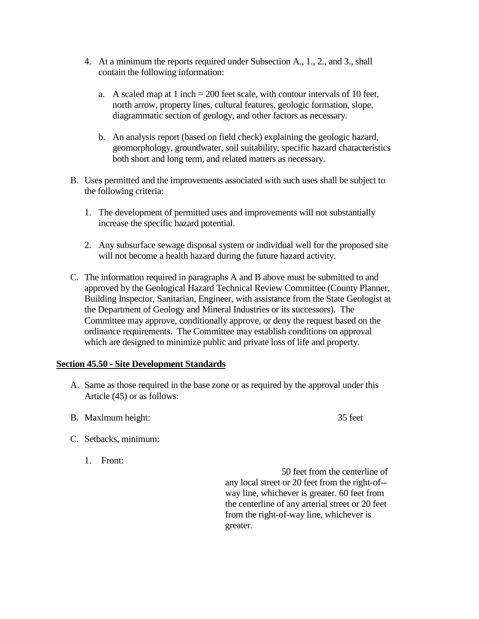- 4. At a minimum the reports required under Subsection A., 1., 2., and 3., shall contain the following information:
	- a. A scaled map at 1 inch  $= 200$  feet scale, with contour intervals of 10 feet, north arrow, property lines, cultural features, geologic formation, slope, diagrammatic section of geology, and other factors as necessary.
	- b. An analysis report (based on field check) explaining the geologic hazard, geomorphology, groundwater, soil suitability, specific hazard characteristics both short and long term, and related matters as necessary.
- B. Uses permitted and the improvements associated with such uses shall be subject to the following criteria:
	- 1. The development of permitted uses and improvements will not substantially increase the specific hazard potential.
	- 2. Any subsurface sewage disposal system or individual well for the proposed site will not become a health hazard during the future hazard activity.
- C. The information required in paragraphs A and B above must be submitted to and approved by the Geological Hazard Technical Review Committee (County Planner, Building Inspector, Sanitarian, Engineer, with assistance from the State Geologist at the Department of Geology and Mineral Industries or its successors). The Committee may approve, conditionally approve, or deny the request based on the ordinance requirements. The Committee may establish conditions on approval which are designed to minimize public and private loss of life and property.

## **Section 45.50 - Site Development Standards**

- A. Same as those required in the base zone or as required by the approval under this Article (45) or as follows:
- B. Maximum height: 35 feet
- C. Setbacks, minimum:
	- 1. Front:

50 feet from the centerline of any local street or 20 feet from the right-of- way line, whichever is greater. 60 feet from the centerline of any arterial street or 20 feet from the right-of-way line, whichever is greater.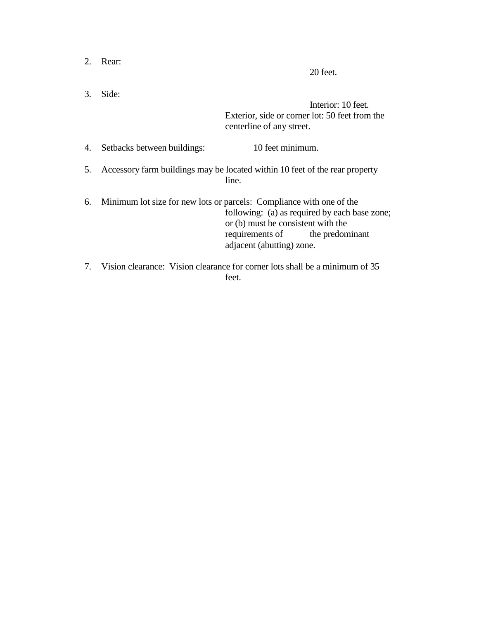| 2. | Rear:                                                                                | 20 feet.                                                                                                                                                                                                                    |  |
|----|--------------------------------------------------------------------------------------|-----------------------------------------------------------------------------------------------------------------------------------------------------------------------------------------------------------------------------|--|
| 3. | Side:                                                                                | Interior: 10 feet.<br>Exterior, side or corner lot: 50 feet from the<br>centerline of any street.                                                                                                                           |  |
| 4. | Setbacks between buildings:                                                          | 10 feet minimum.                                                                                                                                                                                                            |  |
| 5. | Accessory farm buildings may be located within 10 feet of the rear property<br>line. |                                                                                                                                                                                                                             |  |
| 6. |                                                                                      | Minimum lot size for new lots or parcels: Compliance with one of the<br>following: (a) as required by each base zone;<br>or (b) must be consistent with the<br>requirements of the predominant<br>adjacent (abutting) zone. |  |

7. Vision clearance: Vision clearance for corner lots shall be a minimum of 35 feet.